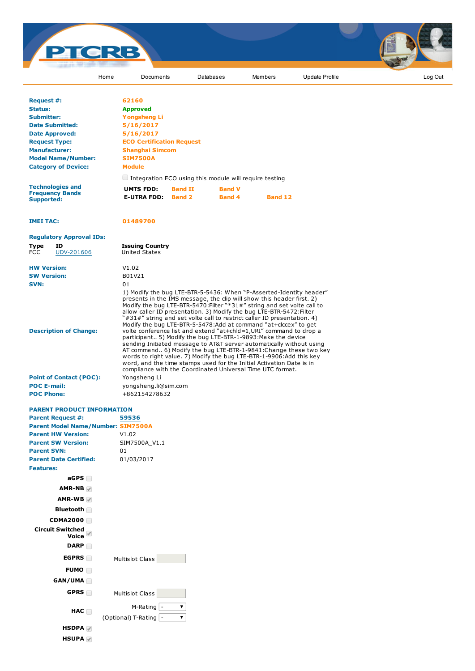

words to right value. 7) Modify the bug LTE-BTR-1-9906:Add this key word, and the time stamps used for the Initial Activation Date is in compliance with the Coordinated Universal Time UTC format.

|                                | COTTIDITATIC WILLI |
|--------------------------------|--------------------|
| <b>Point of Contact (POC):</b> | Yonashena Li       |
| <b>POC E-mail:</b>             | yongsheng.li@sir   |
| <b>POC Phone:</b>              | +862154278632      |

## PARENT PRODUCT INFORMATION

| <b>Parent Request #:</b>                  | 59536                       |
|-------------------------------------------|-----------------------------|
| <b>Parent Model Name/Number: SIM7500A</b> |                             |
| <b>Parent HW Version:</b>                 | V1.02                       |
| <b>Parent SW Version:</b>                 | SIM7500A V1.1               |
| <b>Parent SVN:</b>                        | 01                          |
| <b>Parent Date Certified:</b>             | 01/03/2017                  |
| <b>Features:</b>                          |                             |
| aGPS                                      |                             |
| $AMR-NB$                                  |                             |
| $AMR-WB$                                  |                             |
| Bluetooth                                 |                             |
| <b>CDMA2000</b>                           |                             |
| <b>Circuit Switched</b><br>Voice          |                             |
| <b>DARP</b>                               |                             |
| EGPRS $\Box$                              | Multislot Class             |
| FUMO <sub>I</sub>                         |                             |
| GAN/UMA                                   |                             |
| GPRS                                      | <b>Multislot Class</b>      |
| HAC                                       | $M-Rating$ -                |
|                                           | (Optional) T-Rating  -<br>▼ |
| HSDPA <b>√</b>                            |                             |

Yongsheng Li yongsheng.li@sim.com

HSUPA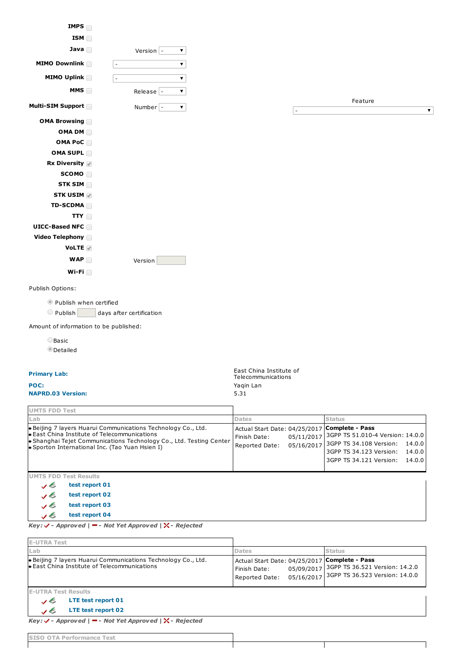

O Publish days after certification

Amount of information to be published:

OBasic

**O**Detailed

## Primary Lab:

## NAPRD.03 Version: 5.31

East China Institute of Telecommunications POC: Yaqin Lan

| <b>UMTS FDD Test</b>                                                                                                                                                                                                                 |                                                                                        |                          |                                                                                                                   |                            |
|--------------------------------------------------------------------------------------------------------------------------------------------------------------------------------------------------------------------------------------|----------------------------------------------------------------------------------------|--------------------------|-------------------------------------------------------------------------------------------------------------------|----------------------------|
| Lab                                                                                                                                                                                                                                  | <b>Dates</b>                                                                           |                          | <b>Status</b>                                                                                                     |                            |
| Beijing 7 layers Huarui Communications Technology Co., Ltd.<br>l. East China Institute of Telecommunications<br>Shanghai Tejet Communications Technology Co., Ltd. Testing Center<br>• Sporton International Inc. (Tao Yuan Hsien I) | Actual Start Date: 04/25/2017 Complete - Pass<br>Finish Date:<br><b>Reported Date:</b> | 05/11/2017<br>05/16/2017 | 3GPP TS 51.010-4 Version: 14.0.0<br>3GPP TS 34.108 Version:<br>3GPP TS 34.123 Version:<br>3GPP TS 34.121 Version: | 14.0.0<br>14.0.0<br>14.0.0 |
| <b>UMTS FDD Test Results</b>                                                                                                                                                                                                         |                                                                                        |                          |                                                                                                                   |                            |

test report 01 いく v b test report 02 test report 03 v b y E test report 04

 $Key: \checkmark$  - Approved | - Not Yet Approved |  $\checkmark$  - Rejected

| <b>E-UTRA Test</b>                                                                                               |                                                                                                                                                                           |
|------------------------------------------------------------------------------------------------------------------|---------------------------------------------------------------------------------------------------------------------------------------------------------------------------|
| Lab                                                                                                              | <b>Dates</b><br><b>Status</b>                                                                                                                                             |
| Beijing 7 layers Huarui Communications Technology Co., Ltd.<br><b>East China Institute of Telecommunications</b> | Actual Start Date: 04/25/2017 Complete - Pass<br>05/09/2017 3GPP TS 36.521 Version: 14.2.0<br>Finish Date:<br>05/16/2017 3GPP TS 36.523 Version: 14.0.0<br>Reported Date: |
| <b>E-UTRA Test Results</b>                                                                                       |                                                                                                                                                                           |
| LTE test report 01<br>JE                                                                                         |                                                                                                                                                                           |
| LTE test report 02<br>✓ຮ                                                                                         |                                                                                                                                                                           |

 $Key: \checkmark$  - Approved | - Not Yet Approved |  $\checkmark$  - Rejected